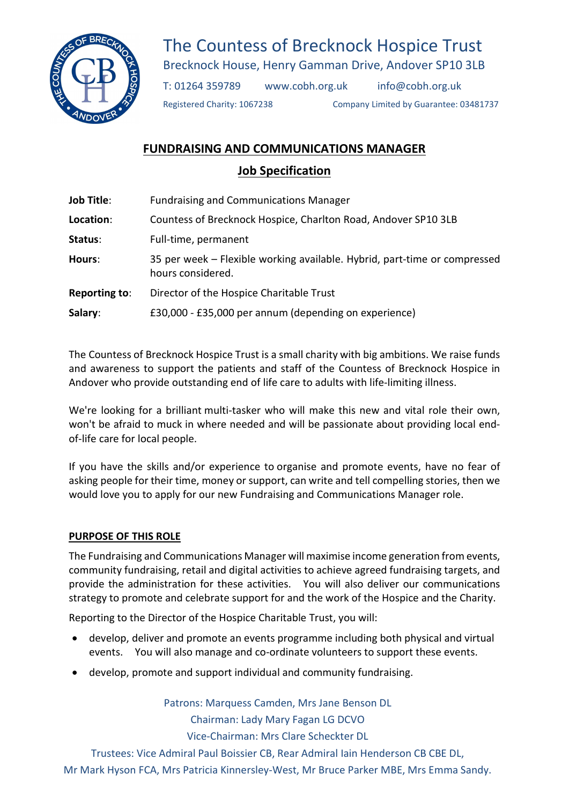

# The Countess of Brecknock Hospice Trust

Brecknock House, Henry Gamman Drive, Andover SP10 3LB

T: 01264 359789 www.cobh.org.uk info@cobh.org.uk

Registered Charity: 1067238 Company Limited by Guarantee: 03481737

# FUNDRAISING AND COMMUNICATIONS MANAGER

# Job Specification

| <b>Job Title:</b> | <b>Fundraising and Communications Manager</b>                                                  |  |
|-------------------|------------------------------------------------------------------------------------------------|--|
| Location:         | Countess of Brecknock Hospice, Charlton Road, Andover SP10 3LB                                 |  |
| Status:           | Full-time, permanent                                                                           |  |
| Hours:            | 35 per week - Flexible working available. Hybrid, part-time or compressed<br>hours considered. |  |
| Reporting to:     | Director of the Hospice Charitable Trust                                                       |  |
| Salary:           | £30,000 - £35,000 per annum (depending on experience)                                          |  |

The Countess of Brecknock Hospice Trust is a small charity with big ambitions. We raise funds and awareness to support the patients and staff of the Countess of Brecknock Hospice in Andover who provide outstanding end of life care to adults with life-limiting illness.

We're looking for a brilliant multi-tasker who will make this new and vital role their own, won't be afraid to muck in where needed and will be passionate about providing local endof-life care for local people.

If you have the skills and/or experience to organise and promote events, have no fear of asking people for their time, money or support, can write and tell compelling stories, then we would love you to apply for our new Fundraising and Communications Manager role.

## PURPOSE OF THIS ROLE

The Fundraising and Communications Manager will maximise income generation from events, community fundraising, retail and digital activities to achieve agreed fundraising targets, and provide the administration for these activities. You will also deliver our communications strategy to promote and celebrate support for and the work of the Hospice and the Charity.

Reporting to the Director of the Hospice Charitable Trust, you will:

- develop, deliver and promote an events programme including both physical and virtual events. You will also manage and co-ordinate volunteers to support these events.
- develop, promote and support individual and community fundraising.

Patrons: Marquess Camden, Mrs Jane Benson DL

Chairman: Lady Mary Fagan LG DCVO

Vice-Chairman: Mrs Clare Scheckter DL

Trustees: Vice Admiral Paul Boissier CB, Rear Admiral Iain Henderson CB CBE DL,

Mr Mark Hyson FCA, Mrs Patricia Kinnersley-West, Mr Bruce Parker MBE, Mrs Emma Sandy.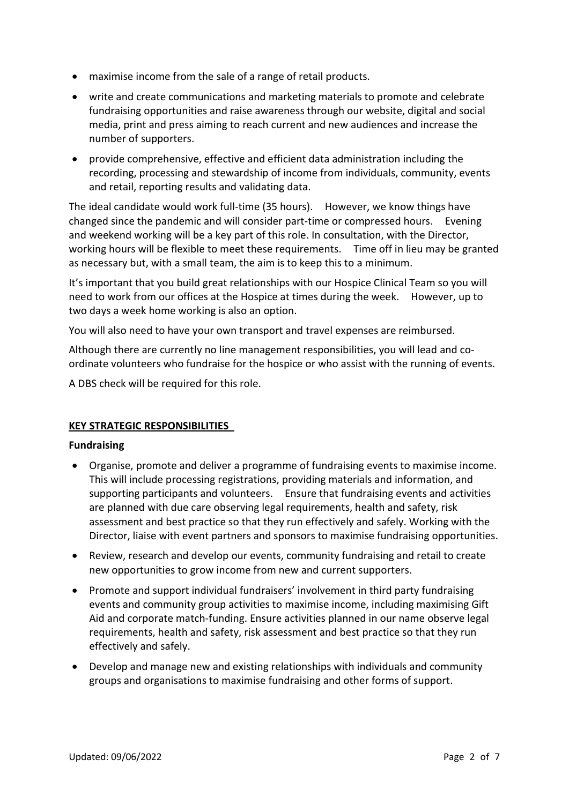- maximise income from the sale of a range of retail products.
- write and create communications and marketing materials to promote and celebrate fundraising opportunities and raise awareness through our website, digital and social media, print and press aiming to reach current and new audiences and increase the number of supporters.
- provide comprehensive, effective and efficient data administration including the recording, processing and stewardship of income from individuals, community, events and retail, reporting results and validating data.

The ideal candidate would work full-time (35 hours). However, we know things have changed since the pandemic and will consider part-time or compressed hours. Evening and weekend working will be a key part of this role. In consultation, with the Director, working hours will be flexible to meet these requirements. Time off in lieu may be granted as necessary but, with a small team, the aim is to keep this to a minimum.

It's important that you build great relationships with our Hospice Clinical Team so you will need to work from our offices at the Hospice at times during the week. However, up to two days a week home working is also an option.

You will also need to have your own transport and travel expenses are reimbursed.

Although there are currently no line management responsibilities, you will lead and coordinate volunteers who fundraise for the hospice or who assist with the running of events.

A DBS check will be required for this role.

### KEY STRATEGIC RESPONSIBILITIES

#### Fundraising

- Organise, promote and deliver a programme of fundraising events to maximise income. This will include processing registrations, providing materials and information, and supporting participants and volunteers. Ensure that fundraising events and activities are planned with due care observing legal requirements, health and safety, risk assessment and best practice so that they run effectively and safely. Working with the Director, liaise with event partners and sponsors to maximise fundraising opportunities.
- Review, research and develop our events, community fundraising and retail to create new opportunities to grow income from new and current supporters.
- Promote and support individual fundraisers' involvement in third party fundraising events and community group activities to maximise income, including maximising Gift Aid and corporate match-funding. Ensure activities planned in our name observe legal requirements, health and safety, risk assessment and best practice so that they run effectively and safely.
- Develop and manage new and existing relationships with individuals and community groups and organisations to maximise fundraising and other forms of support.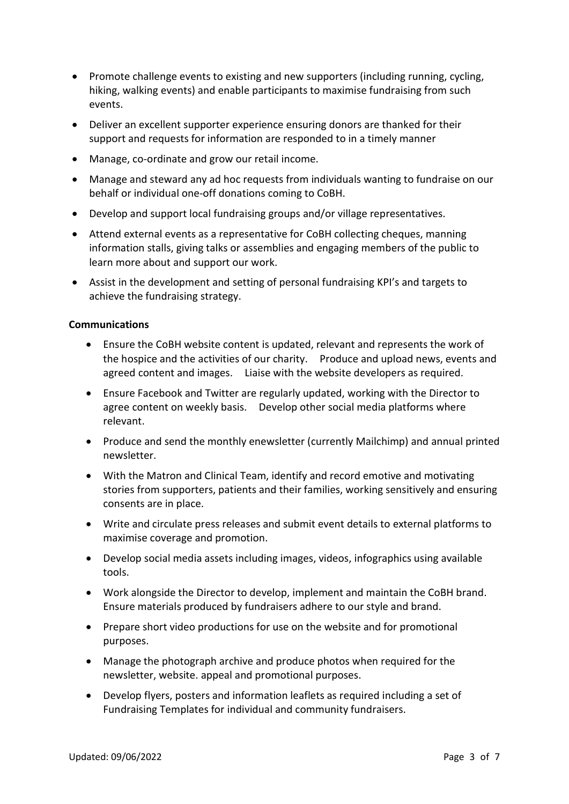- Promote challenge events to existing and new supporters (including running, cycling, hiking, walking events) and enable participants to maximise fundraising from such events.
- Deliver an excellent supporter experience ensuring donors are thanked for their support and requests for information are responded to in a timely manner
- Manage, co-ordinate and grow our retail income.
- Manage and steward any ad hoc requests from individuals wanting to fundraise on our behalf or individual one-off donations coming to CoBH.
- Develop and support local fundraising groups and/or village representatives.
- Attend external events as a representative for CoBH collecting cheques, manning information stalls, giving talks or assemblies and engaging members of the public to learn more about and support our work.
- Assist in the development and setting of personal fundraising KPI's and targets to achieve the fundraising strategy.

#### Communications

- Ensure the CoBH website content is updated, relevant and represents the work of the hospice and the activities of our charity. Produce and upload news, events and agreed content and images. Liaise with the website developers as required.
- Ensure Facebook and Twitter are regularly updated, working with the Director to agree content on weekly basis. Develop other social media platforms where relevant.
- Produce and send the monthly enewsletter (currently Mailchimp) and annual printed newsletter.
- With the Matron and Clinical Team, identify and record emotive and motivating stories from supporters, patients and their families, working sensitively and ensuring consents are in place.
- Write and circulate press releases and submit event details to external platforms to maximise coverage and promotion.
- Develop social media assets including images, videos, infographics using available tools.
- Work alongside the Director to develop, implement and maintain the CoBH brand. Ensure materials produced by fundraisers adhere to our style and brand.
- Prepare short video productions for use on the website and for promotional purposes.
- Manage the photograph archive and produce photos when required for the newsletter, website. appeal and promotional purposes.
- Develop flyers, posters and information leaflets as required including a set of Fundraising Templates for individual and community fundraisers.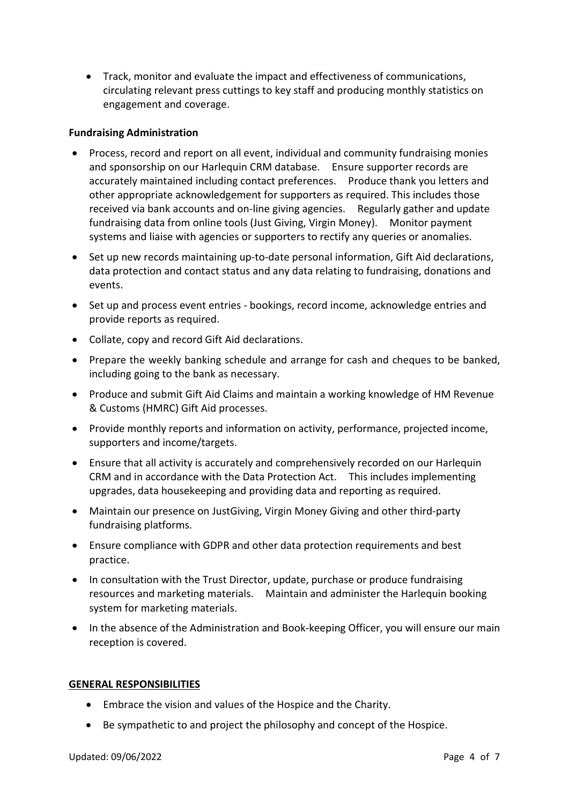Track, monitor and evaluate the impact and effectiveness of communications, circulating relevant press cuttings to key staff and producing monthly statistics on engagement and coverage.

#### Fundraising Administration

- Process, record and report on all event, individual and community fundraising monies and sponsorship on our Harlequin CRM database. Ensure supporter records are accurately maintained including contact preferences. Produce thank you letters and other appropriate acknowledgement for supporters as required. This includes those received via bank accounts and on-line giving agencies. Regularly gather and update fundraising data from online tools (Just Giving, Virgin Money). Monitor payment systems and liaise with agencies or supporters to rectify any queries or anomalies.
- Set up new records maintaining up-to-date personal information, Gift Aid declarations, data protection and contact status and any data relating to fundraising, donations and events.
- Set up and process event entries bookings, record income, acknowledge entries and provide reports as required.
- Collate, copy and record Gift Aid declarations.
- Prepare the weekly banking schedule and arrange for cash and cheques to be banked, including going to the bank as necessary.
- Produce and submit Gift Aid Claims and maintain a working knowledge of HM Revenue & Customs (HMRC) Gift Aid processes.
- Provide monthly reports and information on activity, performance, projected income, supporters and income/targets.
- Ensure that all activity is accurately and comprehensively recorded on our Harlequin CRM and in accordance with the Data Protection Act. This includes implementing upgrades, data housekeeping and providing data and reporting as required.
- Maintain our presence on JustGiving, Virgin Money Giving and other third-party fundraising platforms.
- Ensure compliance with GDPR and other data protection requirements and best practice.
- In consultation with the Trust Director, update, purchase or produce fundraising resources and marketing materials. Maintain and administer the Harlequin booking system for marketing materials.
- In the absence of the Administration and Book-keeping Officer, you will ensure our main reception is covered.

#### GENERAL RESPONSIBILITIES

- Embrace the vision and values of the Hospice and the Charity.
- Be sympathetic to and project the philosophy and concept of the Hospice.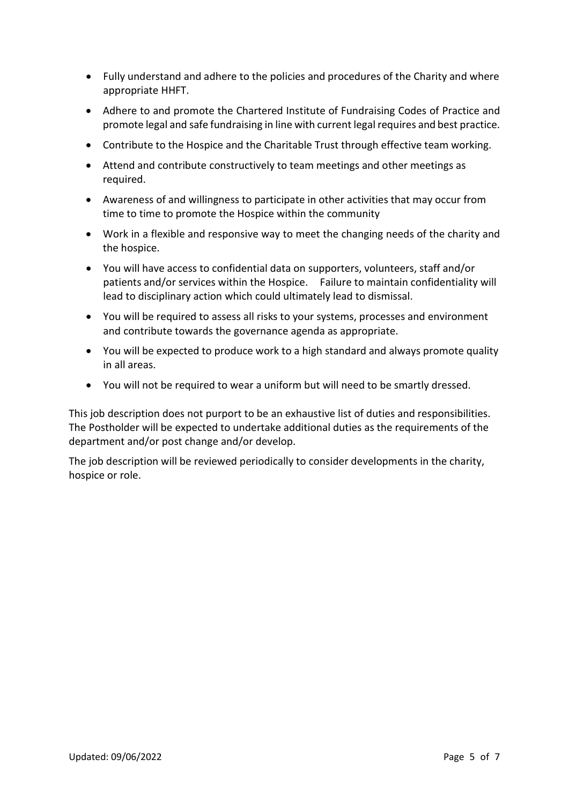- Fully understand and adhere to the policies and procedures of the Charity and where appropriate HHFT.
- Adhere to and promote the Chartered Institute of Fundraising Codes of Practice and promote legal and safe fundraising in line with current legal requires and best practice.
- Contribute to the Hospice and the Charitable Trust through effective team working.
- Attend and contribute constructively to team meetings and other meetings as required.
- Awareness of and willingness to participate in other activities that may occur from time to time to promote the Hospice within the community
- Work in a flexible and responsive way to meet the changing needs of the charity and the hospice.
- You will have access to confidential data on supporters, volunteers, staff and/or patients and/or services within the Hospice. Failure to maintain confidentiality will lead to disciplinary action which could ultimately lead to dismissal.
- You will be required to assess all risks to your systems, processes and environment and contribute towards the governance agenda as appropriate.
- You will be expected to produce work to a high standard and always promote quality in all areas.
- You will not be required to wear a uniform but will need to be smartly dressed.

This job description does not purport to be an exhaustive list of duties and responsibilities. The Postholder will be expected to undertake additional duties as the requirements of the department and/or post change and/or develop.

The job description will be reviewed periodically to consider developments in the charity, hospice or role.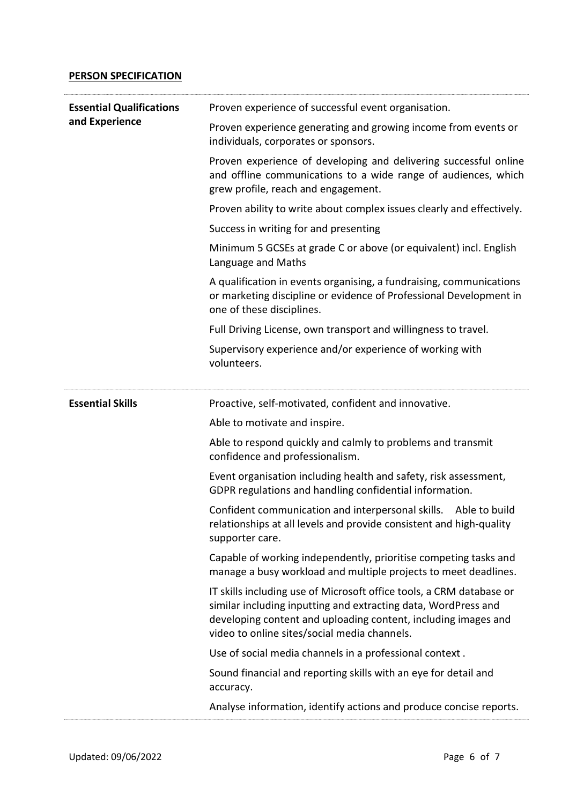### PERSON SPECIFICATION

| <b>Essential Qualifications</b> | Proven experience of successful event organisation.                                                                                                                                                                                                      |
|---------------------------------|----------------------------------------------------------------------------------------------------------------------------------------------------------------------------------------------------------------------------------------------------------|
| and Experience                  | Proven experience generating and growing income from events or<br>individuals, corporates or sponsors.                                                                                                                                                   |
|                                 | Proven experience of developing and delivering successful online<br>and offline communications to a wide range of audiences, which<br>grew profile, reach and engagement.                                                                                |
|                                 | Proven ability to write about complex issues clearly and effectively.                                                                                                                                                                                    |
|                                 | Success in writing for and presenting                                                                                                                                                                                                                    |
|                                 | Minimum 5 GCSEs at grade C or above (or equivalent) incl. English<br>Language and Maths                                                                                                                                                                  |
|                                 | A qualification in events organising, a fundraising, communications<br>or marketing discipline or evidence of Professional Development in<br>one of these disciplines.                                                                                   |
|                                 | Full Driving License, own transport and willingness to travel.                                                                                                                                                                                           |
|                                 | Supervisory experience and/or experience of working with<br>volunteers.                                                                                                                                                                                  |
| <b>Essential Skills</b>         | Proactive, self-motivated, confident and innovative.                                                                                                                                                                                                     |
|                                 | Able to motivate and inspire.                                                                                                                                                                                                                            |
|                                 | Able to respond quickly and calmly to problems and transmit<br>confidence and professionalism.                                                                                                                                                           |
|                                 | Event organisation including health and safety, risk assessment,<br>GDPR regulations and handling confidential information.                                                                                                                              |
|                                 | Confident communication and interpersonal skills. Able to build<br>relationships at all levels and provide consistent and high-quality<br>supporter care.                                                                                                |
|                                 | Capable of working independently, prioritise competing tasks and<br>manage a busy workload and multiple projects to meet deadlines.                                                                                                                      |
|                                 | IT skills including use of Microsoft office tools, a CRM database or<br>similar including inputting and extracting data, WordPress and<br>developing content and uploading content, including images and<br>video to online sites/social media channels. |
|                                 | Use of social media channels in a professional context.                                                                                                                                                                                                  |
|                                 | Sound financial and reporting skills with an eye for detail and<br>accuracy.                                                                                                                                                                             |
|                                 | Analyse information, identify actions and produce concise reports.                                                                                                                                                                                       |